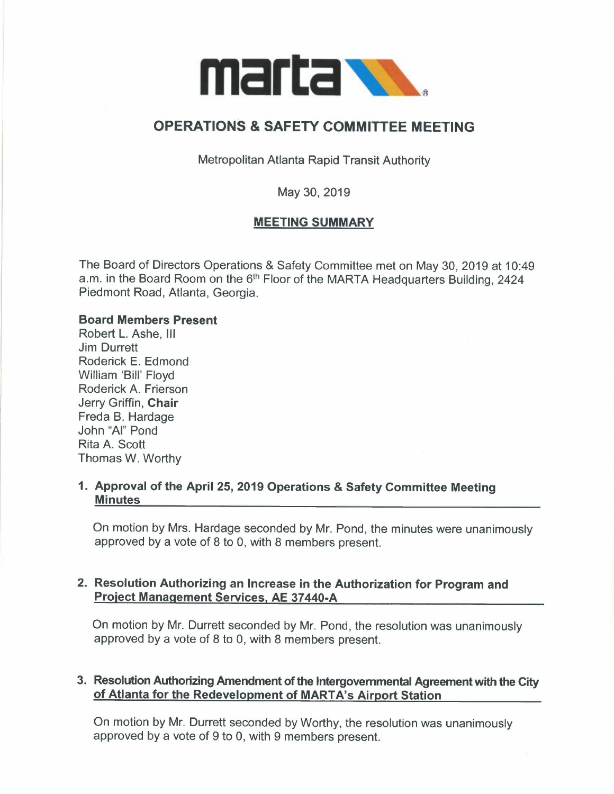

# **OPERATIONS** & **SAFETY COMMITTEE MEETING**

Metropolitan Atlanta Rapid Transit Authority

May 30, 2019

# **MEETING SUMMARY**

The Board of Directors Operations & Safety Committee met on May 30, 2019 at 10:49 a.m. in the Board Room on the 6<sup>th</sup> Floor of the MARTA Headquarters Building, 2424 Piedmont Road, Atlanta, Georgia.

#### **Board Members Present**

Robert L. Ashe, Ill Jim Durrett Roderick E. Edmond William 'Bill' Floyd Roderick A. Frierson Jerry Griffin, **Chair**  Freda B. Hardage John "Al" Pond Rita A. Scott Thomas W. Worthy

# **1. Approval of the April 25, 2019 Operations** & **Safety Committee Meeting Minutes**

On motion by Mrs. Hardage seconded by Mr. Pond, the minutes were unanimously approved by a vote of 8 to 0, with 8 members present.

#### **2. Resolution Authorizing an Increase in the Authorization for Program and Project Management Services, AE 37 440-A**

On motion by Mr. Durrett seconded by Mr. Pond, the resolution was unanimously approved by a vote of 8 to 0, with 8 members present.

# **3. Resolution Authorizing Amendment of the Intergovernmental Agreement with the City of Atlanta for the Redevelopment of MARTA's Airport Station**

On motion by Mr. Durrett seconded by Worthy, the resolution was unanimously approved by a vote of 9 to 0, with 9 members present.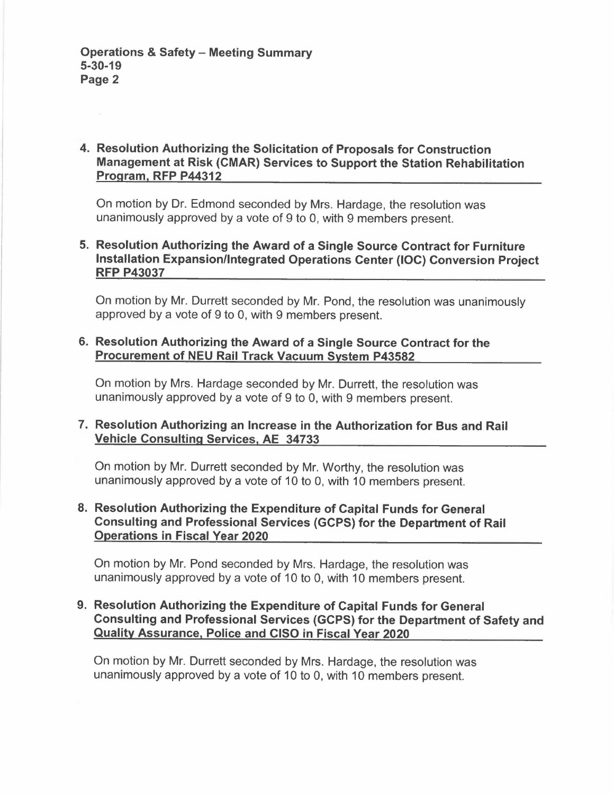# **4. Resolution Authorizing the Solicitation of Proposals for Construction Management at Risk (CMAR) Services to Support the Station Rehabilitation Program, RFP P44312**

On motion by Dr. Edmond seconded by Mrs. Hardage, the resolution was unanimously approved by a vote of 9 to 0, with 9 members present.

# **5. Resolution Authorizing the Award of a Single Source Contract for Furniture Installation Expansion/Integrated Operations Center (IOC) Conversion Project RFP P43037**

On motion by Mr. Durrett seconded by Mr. Pond, the resolution was unanimously approved by a vote of 9 to 0, with 9 members present.

#### **6. Resolution Authorizing the Award of a Single Source Contract for the Procurement of NEU Rail Track Vacuum System P43582**

On motion by Mrs. Hardage seconded by Mr. Durrett, the resolution was unanimously approved by a vote of 9 to 0, with 9 members present.

# **7. Resolution Authorizing an Increase in the Authorization for Bus and Rail Vehicle Consulting Services, AE 34733**

On motion by Mr. Durrett seconded by Mr. Worthy, the resolution was unanimously approved by a vote of 10 to 0, with 10 members present.

#### **8. Resolution Authorizing the Expenditure of Capital Funds for General Consulting and Professional Services (GCPS) for the Department of Rail Operations in Fiscal Year 2020**

On motion by Mr. Pond seconded by Mrs. Hardage, the resolution was unanimously approved by a vote of 10 to 0, with 10 members present.

### **9. Resolution Authorizing the Expenditure of Capital Funds for General Consulting and Professional Services (GCPS) for the Department of Safety and Quality Assurance, Police and CISO in Fiscal Year 2020**

On motion by Mr. Durrett seconded by Mrs. Hardage, the resolution was unanimously approved by a vote of 10 to 0, with 10 members present.